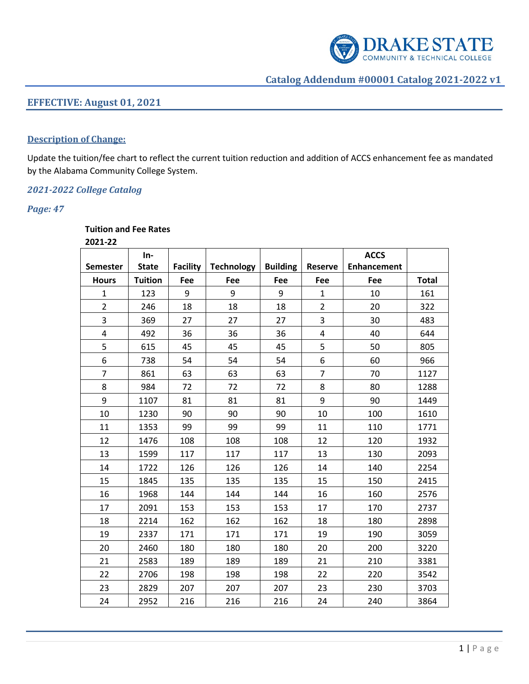

# **EFFECTIVE: August 01, 2021**

#### **Description of Change:**

Update the tuition/fee chart to reflect the current tuition reduction and addition of ACCS enhancement fee as mandated by the Alabama Community College System.

### *2021-2022 College Catalog*

### *Page: 47*

### **Tuition and Fee Rates**

**2021-22**

| ZUZI-ZZ                 | In-            |                 |                   |                 |                | <b>ACCS</b>        |              |
|-------------------------|----------------|-----------------|-------------------|-----------------|----------------|--------------------|--------------|
| <b>Semester</b>         | <b>State</b>   | <b>Facility</b> | <b>Technology</b> | <b>Building</b> | <b>Reserve</b> | <b>Enhancement</b> |              |
| <b>Hours</b>            | <b>Tuition</b> | Fee             | Fee               | Fee             | Fee            | Fee                | <b>Total</b> |
| 1                       | 123            | 9               | 9                 | 9               | 1              | 10                 | 161          |
| $\overline{2}$          | 246            | 18              | 18                | 18              | $\overline{2}$ | 20                 | 322          |
| 3                       | 369            | 27              | 27                | 27              | 3              | 30                 | 483          |
| $\overline{\mathbf{4}}$ | 492            | 36              | 36                | 36              | $\overline{4}$ | 40                 | 644          |
| 5                       | 615            | 45              | 45                | 45              | 5              | 50                 | 805          |
| 6                       | 738            | 54              | 54                | 54              | 6              | 60                 | 966          |
| $\overline{7}$          | 861            | 63              | 63                | 63              | $\overline{7}$ | 70                 | 1127         |
| 8                       | 984            | 72              | 72                | 72              | 8              | 80                 | 1288         |
| 9                       | 1107           | 81              | 81                | 81              | 9              | 90                 | 1449         |
| 10                      | 1230           | 90              | 90                | 90              | 10             | 100                | 1610         |
| 11                      | 1353           | 99              | 99                | 99              | 11             | 110                | 1771         |
| 12                      | 1476           | 108             | 108               | 108             | 12             | 120                | 1932         |
| 13                      | 1599           | 117             | 117               | 117             | 13             | 130                | 2093         |
| 14                      | 1722           | 126             | 126               | 126             | 14             | 140                | 2254         |
| 15                      | 1845           | 135             | 135               | 135             | 15             | 150                | 2415         |
| 16                      | 1968           | 144             | 144               | 144             | 16             | 160                | 2576         |
| 17                      | 2091           | 153             | 153               | 153             | 17             | 170                | 2737         |
| 18                      | 2214           | 162             | 162               | 162             | 18             | 180                | 2898         |
| 19                      | 2337           | 171             | 171               | 171             | 19             | 190                | 3059         |
| 20                      | 2460           | 180             | 180               | 180             | 20             | 200                | 3220         |
| 21                      | 2583           | 189             | 189               | 189             | 21             | 210                | 3381         |
| 22                      | 2706           | 198             | 198               | 198             | 22             | 220                | 3542         |
| 23                      | 2829           | 207             | 207               | 207             | 23             | 230                | 3703         |
| 24                      | 2952           | 216             | 216               | 216             | 24             | 240                | 3864         |